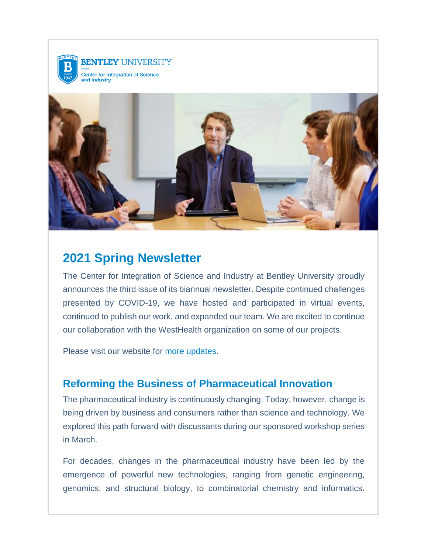



# 2021 Spring Newsletter

The Center for Integration of Science and Industry at Bentley University proudly announces the third issue of its biannual newsletter. Despite continued challenges presented by COVID-19, we have hosted and participated in virtual events, continued to publish our work, and expanded our team. We are excited to continue our collaboration with the WestHealth organization on some of our projects.

Please visit our website for [more updates.](https://nam11.safelinks.protection.outlook.com/?url=https%3A%2F%2Fwww.bentley.edu%2Fcenters%2Fcenter-for-integration-science-and-industry&data=04%7C01%7Cjharrison%40bentley.edu%7C6b0fcf365f4f42c279c908d90a64fe4f%7C9030beae3cfc4788a9e2130204ff1f10%7C0%7C0%7C637552251163765818%7CUnknown%7CTWFpbGZsb3d8eyJWIjoiMC4wLjAwMDAiLCJQIjoiV2luMzIiLCJBTiI6Ik1haWwiLCJXVCI6Mn0%3D%7C1000&sdata=IFHM%2FRS9J9ltVsw1tv1evhpuRmakxw0tVVKD5CCLKOc%3D&reserved=0)

### Reforming the Business of Pharmaceutical Innovation

The pharmaceutical industry is continuously changing. Today, however, change is being driven by business and consumers rather than science and technology. We explored this path forward with discussants during our sponsored workshop series in March.

For decades, changes in the pharmaceutical industry have been led by the emergence of powerful new technologies, ranging from genetic engineering, genomics, and structural biology, to combinatorial chemistry and informatics.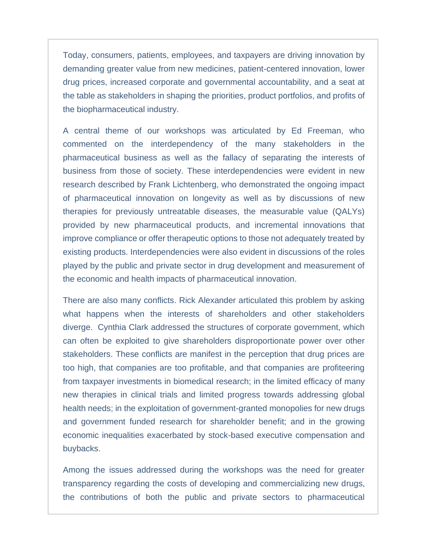Today, consumers, patients, employees, and taxpayers are driving innovation by demanding greater value from new medicines, patient-centered innovation, lower drug prices, increased corporate and governmental accountability, and a seat at the table as stakeholders in shaping the priorities, product portfolios, and profits of the biopharmaceutical industry.

A central theme of our workshops was articulated by Ed Freeman, who commented on the interdependency of the many stakeholders in the pharmaceutical business as well as the fallacy of separating the interests of business from those of society. These interdependencies were evident in new research described by Frank Lichtenberg, who demonstrated the ongoing impact of pharmaceutical innovation on longevity as well as by discussions of new therapies for previously untreatable diseases, the measurable value (QALYs) provided by new pharmaceutical products, and incremental innovations that improve compliance or offer therapeutic options to those not adequately treated by existing products. Interdependencies were also evident in discussions of the roles played by the public and private sector in drug development and measurement of the economic and health impacts of pharmaceutical innovation.

There are also many conflicts. Rick Alexander articulated this problem by asking what happens when the interests of shareholders and other stakeholders diverge. Cynthia Clark addressed the structures of corporate government, which can often be exploited to give shareholders disproportionate power over other stakeholders. These conflicts are manifest in the perception that drug prices are too high, that companies are too profitable, and that companies are profiteering from taxpayer investments in biomedical research; in the limited efficacy of many new therapies in clinical trials and limited progress towards addressing global health needs; in the exploitation of government-granted monopolies for new drugs and government funded research for shareholder benefit; and in the growing economic inequalities exacerbated by stock-based executive compensation and buybacks.

Among the issues addressed during the workshops was the need for greater transparency regarding the costs of developing and commercializing new drugs, the contributions of both the public and private sectors to pharmaceutical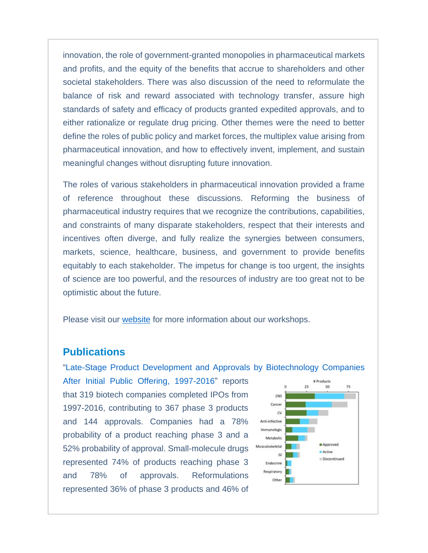innovation, the role of government-granted monopolies in pharmaceutical markets and profits, and the equity of the benefits that accrue to shareholders and other societal stakeholders. There was also discussion of the need to reformulate the balance of risk and reward associated with technology transfer, assure high standards of safety and efficacy of products granted expedited approvals, and to either rationalize or regulate drug pricing. Other themes were the need to better define the roles of public policy and market forces, the multiplex value arising from pharmaceutical innovation, and how to effectively invent, implement, and sustain meaningful changes without disrupting future innovation.

The roles of various stakeholders in pharmaceutical innovation provided a frame of reference throughout these discussions. Reforming the business of pharmaceutical industry requires that we recognize the contributions, capabilities, and constraints of many disparate stakeholders, respect that their interests and incentives often diverge, and fully realize the synergies between consumers, markets, science, healthcare, business, and government to provide benefits equitably to each stakeholder. The impetus for change is too urgent, the insights of science are too powerful, and the resources of industry are too great not to be optimistic about the future.

Please visit our [website](https://nam11.safelinks.protection.outlook.com/?url=https%3A%2F%2Fwww.bentley.edu%2Fcenters%2Fcenter-for-integration-science-and-industry%2Fevents&data=04%7C01%7Cjharrison%40bentley.edu%7C6b0fcf365f4f42c279c908d90a64fe4f%7C9030beae3cfc4788a9e2130204ff1f10%7C0%7C0%7C637552251163775809%7CUnknown%7CTWFpbGZsb3d8eyJWIjoiMC4wLjAwMDAiLCJQIjoiV2luMzIiLCJBTiI6Ik1haWwiLCJXVCI6Mn0%3D%7C1000&sdata=3YoFQLd1rSnF7SpfvO8pulma%2F4ExSjXWnhYQy5wERW4%3D&reserved=0) for more information about our workshops.

#### **Publications**

["Late-Stage Product Development and Approvals by Biotechnology Companies](https://nam11.safelinks.protection.outlook.com/?url=https%3A%2F%2Fwww.sciencedirect.com%2Fscience%2Farticle%2Fpii%2FS0149291820305221&data=04%7C01%7Cjharrison%40bentley.edu%7C6b0fcf365f4f42c279c908d90a64fe4f%7C9030beae3cfc4788a9e2130204ff1f10%7C0%7C0%7C637552251163775809%7CUnknown%7CTWFpbGZsb3d8eyJWIjoiMC4wLjAwMDAiLCJQIjoiV2luMzIiLCJBTiI6Ik1haWwiLCJXVCI6Mn0%3D%7C1000&sdata=9wrClmJlFuSZBkRS1g2a780sd7tcoYBrBiAcFoKhl7c%3D&reserved=0) 

[After Initial Public](https://nam11.safelinks.protection.outlook.com/?url=https%3A%2F%2Fwww.sciencedirect.com%2Fscience%2Farticle%2Fpii%2FS0149291820305221&data=04%7C01%7Cjharrison%40bentley.edu%7C6b0fcf365f4f42c279c908d90a64fe4f%7C9030beae3cfc4788a9e2130204ff1f10%7C0%7C0%7C637552251163775809%7CUnknown%7CTWFpbGZsb3d8eyJWIjoiMC4wLjAwMDAiLCJQIjoiV2luMzIiLCJBTiI6Ik1haWwiLCJXVCI6Mn0%3D%7C1000&sdata=9wrClmJlFuSZBkRS1g2a780sd7tcoYBrBiAcFoKhl7c%3D&reserved=0) [Offering, 1997-2016"](https://nam11.safelinks.protection.outlook.com/?url=https%3A%2F%2Fwww.sciencedirect.com%2Fscience%2Farticle%2Fpii%2FS0149291820305221&data=04%7C01%7Cjharrison%40bentley.edu%7C6b0fcf365f4f42c279c908d90a64fe4f%7C9030beae3cfc4788a9e2130204ff1f10%7C0%7C0%7C637552251163785803%7CUnknown%7CTWFpbGZsb3d8eyJWIjoiMC4wLjAwMDAiLCJQIjoiV2luMzIiLCJBTiI6Ik1haWwiLCJXVCI6Mn0%3D%7C1000&sdata=ptUNFiX2NE3eieiLS8n8BpOVdf%2FVEkQEv8G8hq7%2F3FQ%3D&reserved=0) reports that 319 biotech companies completed IPOs from 1997-2016, contributing to 367 phase 3 products and 144 approvals. Companies had a 78% probability of a product reaching phase 3 and a 52% probability of approval. Small-molecule drugs represented 74% of products reaching phase 3 and 78% of approvals. Reformulations represented 36% of phase 3 products and 46% of

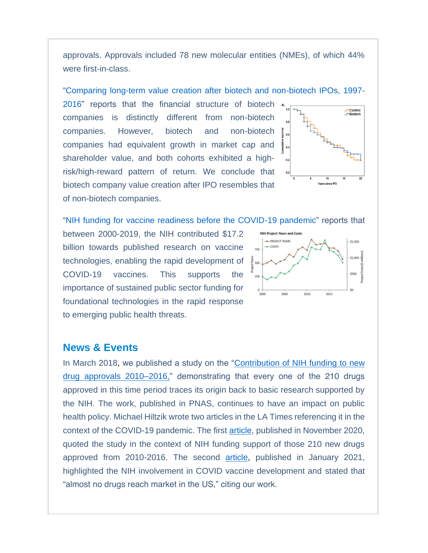approvals. Approvals included 78 new molecular entities (NMEs), of which 44% were first-in-class.

["Comparing long-term value creation after biotech and non-biotech IPOs, 1997-](https://nam11.safelinks.protection.outlook.com/?url=https%3A%2F%2Fjournals.plos.org%2Fplosone%2Farticle%3Fid%3D10.1371%2Fjournal.pone.0243813&data=04%7C01%7Cjharrison%40bentley.edu%7C6b0fcf365f4f42c279c908d90a64fe4f%7C9030beae3cfc4788a9e2130204ff1f10%7C0%7C0%7C637552251163795801%7CUnknown%7CTWFpbGZsb3d8eyJWIjoiMC4wLjAwMDAiLCJQIjoiV2luMzIiLCJBTiI6Ik1haWwiLCJXVCI6Mn0%3D%7C1000&sdata=fkvbJDPZYgUFhIYxjNo8xt0TgIEddpfmeQDGgUktoB0%3D&reserved=0)

[2016"](https://nam11.safelinks.protection.outlook.com/?url=https%3A%2F%2Fjournals.plos.org%2Fplosone%2Farticle%3Fid%3D10.1371%2Fjournal.pone.0243813&data=04%7C01%7Cjharrison%40bentley.edu%7C6b0fcf365f4f42c279c908d90a64fe4f%7C9030beae3cfc4788a9e2130204ff1f10%7C0%7C0%7C637552251163795801%7CUnknown%7CTWFpbGZsb3d8eyJWIjoiMC4wLjAwMDAiLCJQIjoiV2luMzIiLCJBTiI6Ik1haWwiLCJXVCI6Mn0%3D%7C1000&sdata=fkvbJDPZYgUFhIYxjNo8xt0TgIEddpfmeQDGgUktoB0%3D&reserved=0) reports that the financial structure of biotech companies is distinctly different from non-biotech companies. However, biotech and non-biotech companies had equivalent growth in market cap and shareholder value, and both cohorts exhibited a highrisk/high-reward pattern of return. We conclude that biotech company value creation after IPO resembles that of non-biotech companies.



["NIH funding for vaccine readiness before the COVID-19 pandemic"](https://nam11.safelinks.protection.outlook.com/?url=https%3A%2F%2Fwww.sciencedirect.com%2Fscience%2Farticle%2Fpii%2FS0264410X21002905&data=04%7C01%7Cjharrison%40bentley.edu%7C6b0fcf365f4f42c279c908d90a64fe4f%7C9030beae3cfc4788a9e2130204ff1f10%7C0%7C0%7C637552251163805793%7CUnknown%7CTWFpbGZsb3d8eyJWIjoiMC4wLjAwMDAiLCJQIjoiV2luMzIiLCJBTiI6Ik1haWwiLCJXVCI6Mn0%3D%7C1000&sdata=jgAXcs47JV2M%2BSnMjBYs6k0%2BoqkH1c%2F%2FU9qk3n1ftTs%3D&reserved=0) reports that

between 2000-2019, the NIH contributed \$17.2 billion towards published research on vaccine technologies, enabling the rapid development of COVID-19 vaccines. This supports the importance of sustained public sector funding for foundational technologies in the rapid response to emerging public health threats.



#### News & Events

In March 2018, we published a study on the "Contribution of NIH funding to new [drug approvals 2010–2016,"](https://nam11.safelinks.protection.outlook.com/?url=https%3A%2F%2Fwww.pnas.org%2Fcontent%2F115%2F10%2F2329&data=04%7C01%7Cjharrison%40bentley.edu%7C6b0fcf365f4f42c279c908d90a64fe4f%7C9030beae3cfc4788a9e2130204ff1f10%7C0%7C0%7C637552251163805793%7CUnknown%7CTWFpbGZsb3d8eyJWIjoiMC4wLjAwMDAiLCJQIjoiV2luMzIiLCJBTiI6Ik1haWwiLCJXVCI6Mn0%3D%7C1000&sdata=dYTseYI3jhpCkfPUdMQeJbBZawbxUR0ldui47F1w8G8%3D&reserved=0) demonstrating that every one of the 210 drugs approved in this time period traces its origin back to basic research supported by the NIH. The work, published in PNAS, continues to have an impact on public health policy. Michael Hiltzik wrote two articles in the LA Times referencing it in the context of the COVID-19 pandemic. The first [article,](https://nam11.safelinks.protection.outlook.com/?url=https%3A%2F%2Fwww.latimes.com%2Fbusiness%2Fstory%2F2020-11-16%2Fwho-owns-the-covid-vaccines&data=04%7C01%7Cjharrison%40bentley.edu%7C6b0fcf365f4f42c279c908d90a64fe4f%7C9030beae3cfc4788a9e2130204ff1f10%7C0%7C0%7C637552251163815793%7CUnknown%7CTWFpbGZsb3d8eyJWIjoiMC4wLjAwMDAiLCJQIjoiV2luMzIiLCJBTiI6Ik1haWwiLCJXVCI6Mn0%3D%7C1000&sdata=Vwmjm0SnUz1JkGevWcrUx1e7ADNqpBCLrAn1ghsPMls%3D&reserved=0) published in November 2020, quoted the study in the context of NIH funding support of those 210 new drugs approved from 2010-2016. The second [article,](https://nam11.safelinks.protection.outlook.com/?url=https%3A%2F%2Fwww.latimes.com%2Fbusiness%2Fstory%2F2021-01-04%2Fpfizer-moderna-covid-vaccine-profits&data=04%7C01%7Cjharrison%40bentley.edu%7C6b0fcf365f4f42c279c908d90a64fe4f%7C9030beae3cfc4788a9e2130204ff1f10%7C0%7C0%7C637552251163825781%7CUnknown%7CTWFpbGZsb3d8eyJWIjoiMC4wLjAwMDAiLCJQIjoiV2luMzIiLCJBTiI6Ik1haWwiLCJXVCI6Mn0%3D%7C1000&sdata=AE8e5OqXNIBF%2BsfJBNpaAJcK7ue73%2B4nk29weADO%2Bmw%3D&reserved=0) published in January 2021, highlighted the NIH involvement in COVID vaccine development and stated that "almost no drugs reach market in the US," citing our work.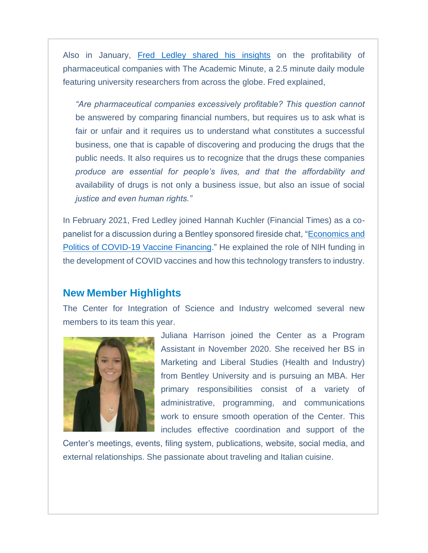Also in January, [Fred Ledley shared his insights](https://nam11.safelinks.protection.outlook.com/?url=https%3A%2F%2Facademicminute.org%2F2021%2F01%2Ffred-ledley-bentley-university-pharmaceutical-companies-profitability%2F&data=04%7C01%7Cjharrison%40bentley.edu%7C6b0fcf365f4f42c279c908d90a64fe4f%7C9030beae3cfc4788a9e2130204ff1f10%7C0%7C0%7C637552251163825781%7CUnknown%7CTWFpbGZsb3d8eyJWIjoiMC4wLjAwMDAiLCJQIjoiV2luMzIiLCJBTiI6Ik1haWwiLCJXVCI6Mn0%3D%7C1000&sdata=DSGCRd%2BxX%2FjbV6%2ByBraPImhXdQ7PTB9iBMy%2BhDxY4HQ%3D&reserved=0) on the profitability of pharmaceutical companies with The Academic Minute, a 2.5 minute daily module featuring university researchers from across the globe. Fred explained,

*"Are pharmaceutical companies excessively profitable? This question cannot be answered by comparing financial numbers, but requires us to ask what is*  fair or unfair and it requires us to understand what constitutes a successful *business, one that is capable of discovering and producing the drugs that the public needs. It also requires us to recognize that the drugs these companies produce are essential for people's lives, and that the affordability and availability of drugs is not only a business issue, but also an issue of social justice and even human rights."*

In February 2021, Fred Ledley joined Hannah Kuchler (Financial Times) as a copanelist for a discussion during a Bentley sponsored fireside chat, ["Economics and](https://nam11.safelinks.protection.outlook.com/?url=https%3A%2F%2Fvideos.bentley.edu%2Fmedia%2Ft%2F1_ibd2yn4w%2F65552731%3F_ga%3D2.73542166.50275103.1617809385-454024479.1617809385&data=04%7C01%7Cjharrison%40bentley.edu%7C6b0fcf365f4f42c279c908d90a64fe4f%7C9030beae3cfc4788a9e2130204ff1f10%7C0%7C0%7C637552251163835781%7CUnknown%7CTWFpbGZsb3d8eyJWIjoiMC4wLjAwMDAiLCJQIjoiV2luMzIiLCJBTiI6Ik1haWwiLCJXVCI6Mn0%3D%7C1000&sdata=v6y6AzCXMYCWw6awFSNn%2BNGYTVg9WZTqefBKjISjciw%3D&reserved=0)  [Politics of COVID-19 Vaccine Financing.](https://nam11.safelinks.protection.outlook.com/?url=https%3A%2F%2Fvideos.bentley.edu%2Fmedia%2Ft%2F1_ibd2yn4w%2F65552731%3F_ga%3D2.73542166.50275103.1617809385-454024479.1617809385&data=04%7C01%7Cjharrison%40bentley.edu%7C6b0fcf365f4f42c279c908d90a64fe4f%7C9030beae3cfc4788a9e2130204ff1f10%7C0%7C0%7C637552251163835781%7CUnknown%7CTWFpbGZsb3d8eyJWIjoiMC4wLjAwMDAiLCJQIjoiV2luMzIiLCJBTiI6Ik1haWwiLCJXVCI6Mn0%3D%7C1000&sdata=v6y6AzCXMYCWw6awFSNn%2BNGYTVg9WZTqefBKjISjciw%3D&reserved=0)" He explained the role of NIH funding in the development of COVID vaccines and how this technology transfers to industry.

### New Member Highlights

The Center for Integration of Science and Industry welcomed several new members to its team this year.



Juliana Harrison joined the Center as a Program Assistant in November 2020. She received her BS in Marketing and Liberal Studies (Health and Industry) from Bentley University and is pursuing an MBA. Her primary responsibilities consist of a variety of administrative, programming, and communications work to ensure smooth operation of the Center. This includes effective coordination and support of the

Center's meetings, events, filing system, publications, website, social media, and external relationships. She passionate about traveling and Italian cuisine.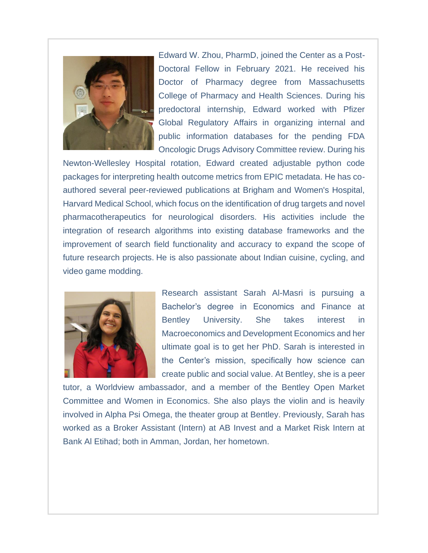

Edward W. Zhou, PharmD, joined the Center as a Post-Doctoral Fellow in February 2021. He received his Doctor of Pharmacy degree from Massachusetts College of Pharmacy and Health Sciences. During his predoctoral internship, Edward worked with Pfizer Global Regulatory Affairs in organizing internal and public information databases for the pending FDA Oncologic Drugs Advisory Committee review. During his

Newton-Wellesley Hospital rotation, Edward created adjustable python code packages for interpreting health outcome metrics from EPIC metadata. He has coauthored several peer-reviewed publications at Brigham and Women's Hospital, Harvard Medical School, which focus on the identification of drug targets and novel pharmacotherapeutics for neurological disorders. His activities include the integration of research algorithms into existing database frameworks and the improvement of search field functionality and accuracy to expand the scope of future research projects. He is also passionate about Indian cuisine, cycling, and video game modding.



Research assistant Sarah Al-Masri is pursuing a Bachelor's degree in Economics and Finance at Bentley University. She takes interest in Macroeconomics and Development Economics and her ultimate goal is to get her PhD. Sarah is interested in the Center's mission, specifically how science can create public and social value. At Bentley, she is a peer

tutor, a Worldview ambassador, and a member of the Bentley Open Market Committee and Women in Economics. She also plays the violin and is heavily involved in Alpha Psi Omega, the theater group at Bentley. Previously, Sarah has worked as a Broker Assistant (Intern) at AB Invest and a Market Risk Intern at Bank Al Etihad; both in Amman, Jordan, her hometown.